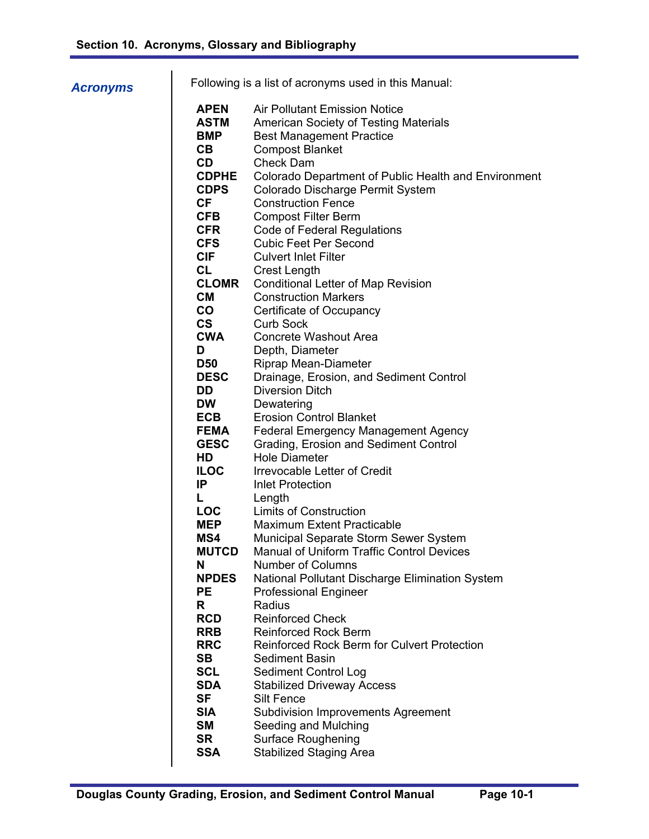## *Acronyms*

| Following is a list of acronyms used in this Manual: |                                                      |  |  |  |
|------------------------------------------------------|------------------------------------------------------|--|--|--|
| <b>APEN</b>                                          | Air Pollutant Emission Notice                        |  |  |  |
| <b>ASTM</b>                                          | <b>American Society of Testing Materials</b>         |  |  |  |
| <b>BMP</b>                                           | <b>Best Management Practice</b>                      |  |  |  |
| CB.                                                  | <b>Compost Blanket</b>                               |  |  |  |
| CD.                                                  | Check Dam                                            |  |  |  |
| <b>CDPHE</b>                                         | Colorado Department of Public Health and Environment |  |  |  |
| <b>CDPS</b>                                          | Colorado Discharge Permit System                     |  |  |  |
| CF.                                                  | <b>Construction Fence</b>                            |  |  |  |
| <b>CFB</b>                                           | <b>Compost Filter Berm</b>                           |  |  |  |
| <b>CFR</b>                                           | <b>Code of Federal Regulations</b>                   |  |  |  |
| <b>CFS</b>                                           | Cubic Feet Per Second                                |  |  |  |
| <b>CIF</b>                                           | Culvert Inlet Filter                                 |  |  |  |
| CL.                                                  | <b>Crest Length</b>                                  |  |  |  |
| <b>CLOMR</b>                                         | <b>Conditional Letter of Map Revision</b>            |  |  |  |
| CМ                                                   | <b>Construction Markers</b>                          |  |  |  |

- **CO** Certificate of Occupancy **CS** Curb Sock
- **CWA** Concrete Washout Area
- **D** Depth, Diameter **D50** Riprap Mean-Diameter
- **DESC** Drainage, Erosion, and Sediment Control
	- **DD** Diversion Ditch
	- **DW** Dewatering **ECB** Erosion Control Blanket
	- **FEMA** Federal Emergency Management Agency
	- **GESC** Grading, Erosion and Sediment Control
	- **HD** Hole Diameter
	- **ILOC** Irrevocable Letter of Credit
	- **IP** Inlet Protection **L** Length
	- **LOC** Limits of Construction
	- **MEP** Maximum Extent Practicable
	- **MS4** Municipal Separate Storm Sewer System
	- **MUTCD** Manual of Uniform Traffic Control Devices
	- **N** Number of Columns
	- **NPDES** National Pollutant Discharge Elimination System **PE** Professional Engineer
	- **R** Radius
	- **RCD** Reinforced Check
	- **RRB** Reinforced Rock Berm
	- **RRC** Reinforced Rock Berm for Culvert Protection
		- **SB** Sediment Basin
		- **SCL** Sediment Control Log
	- **SDA** Stabilized Driveway Access
	- **SF** Silt Fence
	- **SIA** Subdivision Improvements Agreement
	- **SM** Seeding and Mulching
	- **SR** Surface Roughening<br> **SSA** Stabilized Staging Ar
	- **Stabilized Staging Area**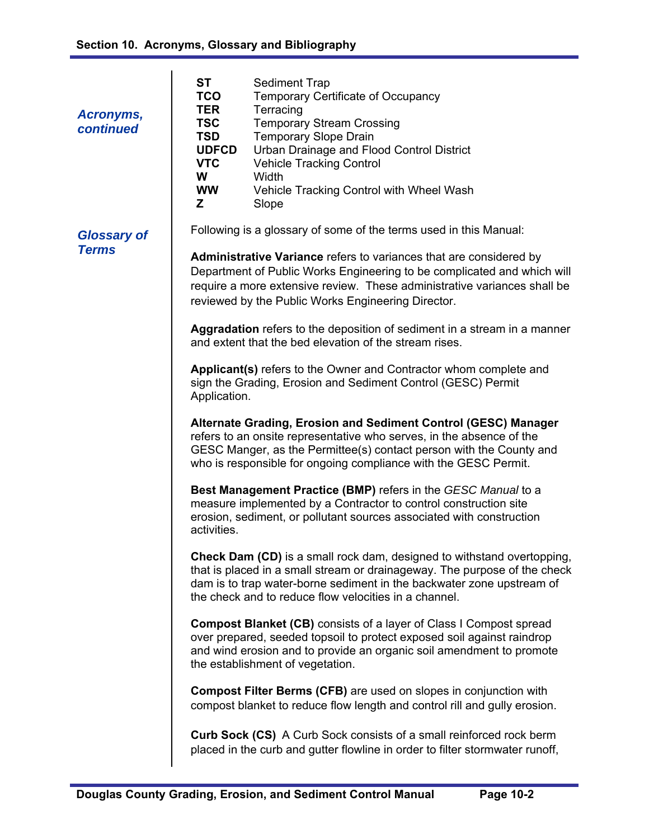| Acronyms,<br>continued             | <b>ST</b><br><b>TCO</b><br><b>TER</b><br><b>TSC</b><br><b>TSD</b><br><b>UDFCD</b><br><b>VTC</b><br>W<br><b>WW</b><br>Z                                                                                                                                                                                                                                                                                                                                                                            | <b>Sediment Trap</b><br>Temporary Certificate of Occupancy<br>Terracing<br><b>Temporary Stream Crossing</b><br><b>Temporary Slope Drain</b><br>Urban Drainage and Flood Control District<br><b>Vehicle Tracking Control</b><br>Width<br>Vehicle Tracking Control with Wheel Wash<br>Slope                                                                                                                                                  |  |  |
|------------------------------------|---------------------------------------------------------------------------------------------------------------------------------------------------------------------------------------------------------------------------------------------------------------------------------------------------------------------------------------------------------------------------------------------------------------------------------------------------------------------------------------------------|--------------------------------------------------------------------------------------------------------------------------------------------------------------------------------------------------------------------------------------------------------------------------------------------------------------------------------------------------------------------------------------------------------------------------------------------|--|--|
| <b>Glossary of</b><br><b>Terms</b> | Following is a glossary of some of the terms used in this Manual:<br>Administrative Variance refers to variances that are considered by<br>Department of Public Works Engineering to be complicated and which will<br>require a more extensive review. These administrative variances shall be<br>reviewed by the Public Works Engineering Director.<br><b>Aggradation</b> refers to the deposition of sediment in a stream in a manner<br>and extent that the bed elevation of the stream rises. |                                                                                                                                                                                                                                                                                                                                                                                                                                            |  |  |
|                                    | Applicant(s) refers to the Owner and Contractor whom complete and<br>sign the Grading, Erosion and Sediment Control (GESC) Permit<br>Application.<br>Alternate Grading, Erosion and Sediment Control (GESC) Manager<br>refers to an onsite representative who serves, in the absence of the<br>GESC Manger, as the Permittee(s) contact person with the County and<br>who is responsible for ongoing compliance with the GESC Permit.                                                             |                                                                                                                                                                                                                                                                                                                                                                                                                                            |  |  |
|                                    | activities.                                                                                                                                                                                                                                                                                                                                                                                                                                                                                       | Best Management Practice (BMP) refers in the GESC Manual to a<br>measure implemented by a Contractor to control construction site<br>erosion, sediment, or pollutant sources associated with construction<br><b>Check Dam (CD)</b> is a small rock dam, designed to withstand overtopping,                                                                                                                                                 |  |  |
|                                    |                                                                                                                                                                                                                                                                                                                                                                                                                                                                                                   | that is placed in a small stream or drainageway. The purpose of the check<br>dam is to trap water-borne sediment in the backwater zone upstream of<br>the check and to reduce flow velocities in a channel.<br><b>Compost Blanket (CB)</b> consists of a layer of Class I Compost spread<br>over prepared, seeded topsoil to protect exposed soil against raindrop<br>and wind erosion and to provide an organic soil amendment to promote |  |  |
|                                    |                                                                                                                                                                                                                                                                                                                                                                                                                                                                                                   | the establishment of vegetation.<br><b>Compost Filter Berms (CFB)</b> are used on slopes in conjunction with<br>compost blanket to reduce flow length and control rill and gully erosion.                                                                                                                                                                                                                                                  |  |  |
|                                    |                                                                                                                                                                                                                                                                                                                                                                                                                                                                                                   | <b>Curb Sock (CS)</b> A Curb Sock consists of a small reinforced rock berm<br>placed in the curb and gutter flowline in order to filter stormwater runoff,                                                                                                                                                                                                                                                                                 |  |  |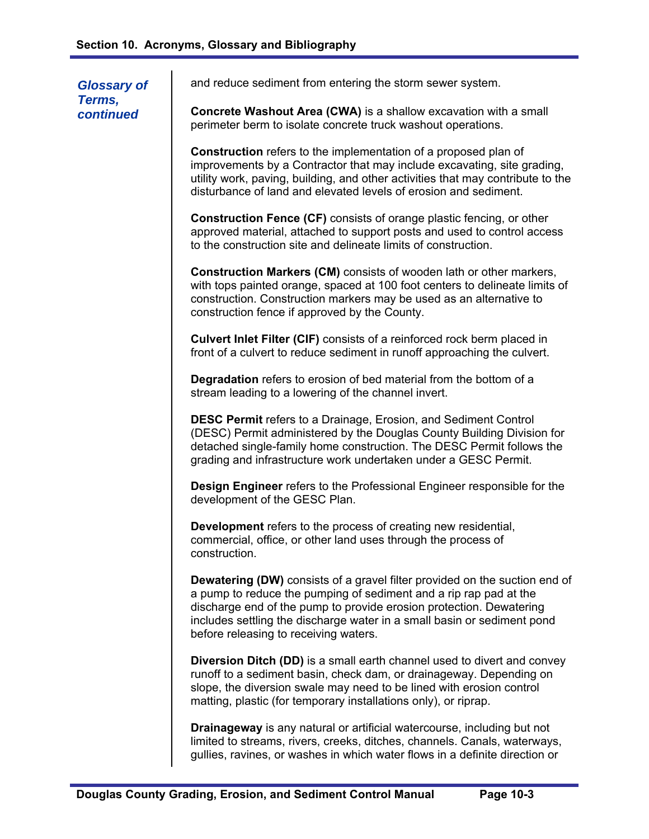| <b>Glossary of</b><br>Terms,<br>continued | and reduce sediment from entering the storm sewer system.                                                                                                                                                                                                                                                                                         |
|-------------------------------------------|---------------------------------------------------------------------------------------------------------------------------------------------------------------------------------------------------------------------------------------------------------------------------------------------------------------------------------------------------|
|                                           | Concrete Washout Area (CWA) is a shallow excavation with a small<br>perimeter berm to isolate concrete truck washout operations.                                                                                                                                                                                                                  |
|                                           | <b>Construction</b> refers to the implementation of a proposed plan of<br>improvements by a Contractor that may include excavating, site grading,<br>utility work, paving, building, and other activities that may contribute to the<br>disturbance of land and elevated levels of erosion and sediment.                                          |
|                                           | <b>Construction Fence (CF)</b> consists of orange plastic fencing, or other<br>approved material, attached to support posts and used to control access<br>to the construction site and delineate limits of construction.                                                                                                                          |
|                                           | <b>Construction Markers (CM)</b> consists of wooden lath or other markers,<br>with tops painted orange, spaced at 100 foot centers to delineate limits of<br>construction. Construction markers may be used as an alternative to<br>construction fence if approved by the County.                                                                 |
|                                           | Culvert Inlet Filter (CIF) consists of a reinforced rock berm placed in<br>front of a culvert to reduce sediment in runoff approaching the culvert.                                                                                                                                                                                               |
|                                           | Degradation refers to erosion of bed material from the bottom of a<br>stream leading to a lowering of the channel invert.                                                                                                                                                                                                                         |
|                                           | <b>DESC Permit</b> refers to a Drainage, Erosion, and Sediment Control<br>(DESC) Permit administered by the Douglas County Building Division for<br>detached single-family home construction. The DESC Permit follows the<br>grading and infrastructure work undertaken under a GESC Permit.                                                      |
|                                           | <b>Design Engineer</b> refers to the Professional Engineer responsible for the<br>development of the GESC Plan.                                                                                                                                                                                                                                   |
|                                           | Development refers to the process of creating new residential,<br>commercial, office, or other land uses through the process of<br>construction.                                                                                                                                                                                                  |
|                                           | <b>Dewatering (DW)</b> consists of a gravel filter provided on the suction end of<br>a pump to reduce the pumping of sediment and a rip rap pad at the<br>discharge end of the pump to provide erosion protection. Dewatering<br>includes settling the discharge water in a small basin or sediment pond<br>before releasing to receiving waters. |
|                                           | <b>Diversion Ditch (DD)</b> is a small earth channel used to divert and convey<br>runoff to a sediment basin, check dam, or drainageway. Depending on<br>slope, the diversion swale may need to be lined with erosion control<br>matting, plastic (for temporary installations only), or riprap.                                                  |
|                                           | <b>Drainageway</b> is any natural or artificial watercourse, including but not<br>limited to streams, rivers, creeks, ditches, channels. Canals, waterways,<br>gullies, ravines, or washes in which water flows in a definite direction or                                                                                                        |

 $\overline{\phantom{a}}$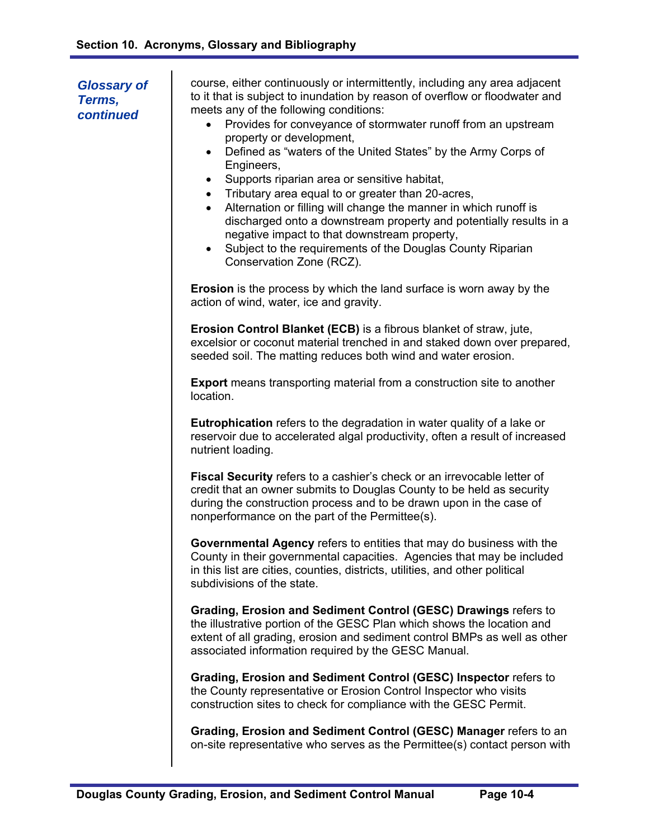| <b>Glossary of</b><br>Terms,<br>continued | course, either continuously or intermittently, including any area adjacent<br>to it that is subject to inundation by reason of overflow or floodwater and<br>meets any of the following conditions:<br>Provides for conveyance of stormwater runoff from an upstream<br>$\bullet$<br>property or development,<br>Defined as "waters of the United States" by the Army Corps of<br>$\bullet$<br>Engineers,<br>Supports riparian area or sensitive habitat,<br>$\bullet$<br>Tributary area equal to or greater than 20-acres,<br>$\bullet$<br>Alternation or filling will change the manner in which runoff is<br>$\bullet$<br>discharged onto a downstream property and potentially results in a<br>negative impact to that downstream property,<br>Subject to the requirements of the Douglas County Riparian<br>$\bullet$<br>Conservation Zone (RCZ). |
|-------------------------------------------|--------------------------------------------------------------------------------------------------------------------------------------------------------------------------------------------------------------------------------------------------------------------------------------------------------------------------------------------------------------------------------------------------------------------------------------------------------------------------------------------------------------------------------------------------------------------------------------------------------------------------------------------------------------------------------------------------------------------------------------------------------------------------------------------------------------------------------------------------------|
|                                           | <b>Erosion</b> is the process by which the land surface is worn away by the<br>action of wind, water, ice and gravity.                                                                                                                                                                                                                                                                                                                                                                                                                                                                                                                                                                                                                                                                                                                                 |
|                                           | <b>Erosion Control Blanket (ECB)</b> is a fibrous blanket of straw, jute,<br>excelsior or coconut material trenched in and staked down over prepared,<br>seeded soil. The matting reduces both wind and water erosion.                                                                                                                                                                                                                                                                                                                                                                                                                                                                                                                                                                                                                                 |
|                                           | <b>Export</b> means transporting material from a construction site to another<br>location.                                                                                                                                                                                                                                                                                                                                                                                                                                                                                                                                                                                                                                                                                                                                                             |
|                                           | <b>Eutrophication</b> refers to the degradation in water quality of a lake or<br>reservoir due to accelerated algal productivity, often a result of increased<br>nutrient loading.                                                                                                                                                                                                                                                                                                                                                                                                                                                                                                                                                                                                                                                                     |
|                                           | Fiscal Security refers to a cashier's check or an irrevocable letter of<br>credit that an owner submits to Douglas County to be held as security<br>during the construction process and to be drawn upon in the case of<br>nonperformance on the part of the Permittee(s).                                                                                                                                                                                                                                                                                                                                                                                                                                                                                                                                                                             |
|                                           | Governmental Agency refers to entities that may do business with the<br>County in their governmental capacities. Agencies that may be included<br>in this list are cities, counties, districts, utilities, and other political<br>subdivisions of the state.                                                                                                                                                                                                                                                                                                                                                                                                                                                                                                                                                                                           |
|                                           | Grading, Erosion and Sediment Control (GESC) Drawings refers to<br>the illustrative portion of the GESC Plan which shows the location and<br>extent of all grading, erosion and sediment control BMPs as well as other<br>associated information required by the GESC Manual.                                                                                                                                                                                                                                                                                                                                                                                                                                                                                                                                                                          |
|                                           | Grading, Erosion and Sediment Control (GESC) Inspector refers to<br>the County representative or Erosion Control Inspector who visits<br>construction sites to check for compliance with the GESC Permit.                                                                                                                                                                                                                                                                                                                                                                                                                                                                                                                                                                                                                                              |
|                                           | Grading, Erosion and Sediment Control (GESC) Manager refers to an<br>on-site representative who serves as the Permittee(s) contact person with                                                                                                                                                                                                                                                                                                                                                                                                                                                                                                                                                                                                                                                                                                         |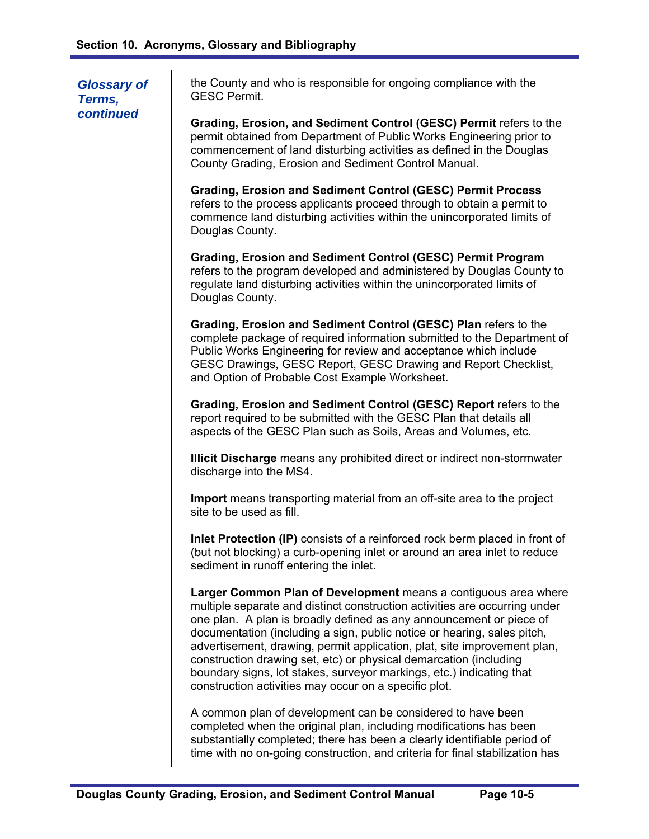*Glossary of Terms, continued* 

the County and who is responsible for ongoing compliance with the GESC Permit.

**Grading, Erosion, and Sediment Control (GESC) Permit refers to the** permit obtained from Department of Public Works Engineering prior to commencement of land disturbing activities as defined in the Douglas County Grading, Erosion and Sediment Control Manual.

**Grading, Erosion and Sediment Control (GESC) Permit Process**  refers to the process applicants proceed through to obtain a permit to commence land disturbing activities within the unincorporated limits of Douglas County.

**Grading, Erosion and Sediment Control (GESC) Permit Program**  refers to the program developed and administered by Douglas County to regulate land disturbing activities within the unincorporated limits of Douglas County.

**Grading, Erosion and Sediment Control (GESC) Plan** refers to the complete package of required information submitted to the Department of Public Works Engineering for review and acceptance which include GESC Drawings, GESC Report, GESC Drawing and Report Checklist, and Option of Probable Cost Example Worksheet.

**Grading, Erosion and Sediment Control (GESC) Report refers to the** report required to be submitted with the GESC Plan that details all aspects of the GESC Plan such as Soils, Areas and Volumes, etc.

**Illicit Discharge** means any prohibited direct or indirect non-stormwater discharge into the MS4.

**Import** means transporting material from an off-site area to the project site to be used as fill.

**Inlet Protection (IP)** consists of a reinforced rock berm placed in front of (but not blocking) a curb-opening inlet or around an area inlet to reduce sediment in runoff entering the inlet.

**Larger Common Plan of Development** means a contiguous area where multiple separate and distinct construction activities are occurring under one plan. A plan is broadly defined as any announcement or piece of documentation (including a sign, public notice or hearing, sales pitch, advertisement, drawing, permit application, plat, site improvement plan, construction drawing set, etc) or physical demarcation (including boundary signs, lot stakes, surveyor markings, etc.) indicating that construction activities may occur on a specific plot.

A common plan of development can be considered to have been completed when the original plan, including modifications has been substantially completed; there has been a clearly identifiable period of time with no on-going construction, and criteria for final stabilization has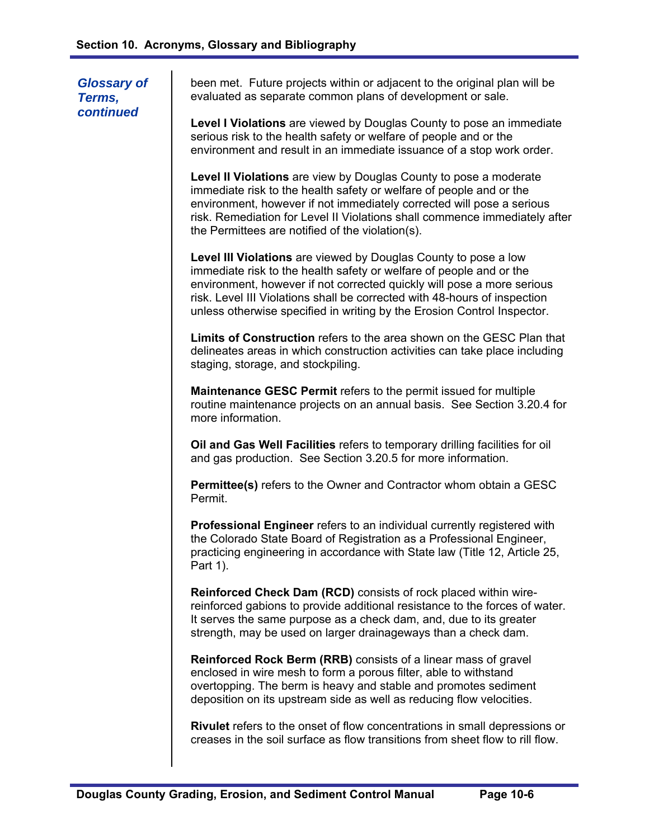been met. Future projects within or adjacent to the original plan will be evaluated as separate common plans of development or sale. **Level I Violations** are viewed by Douglas County to pose an immediate serious risk to the health safety or welfare of people and or the environment and result in an immediate issuance of a stop work order. **Level II Violations** are view by Douglas County to pose a moderate immediate risk to the health safety or welfare of people and or the environment, however if not immediately corrected will pose a serious risk. Remediation for Level II Violations shall commence immediately after the Permittees are notified of the violation(s). **Level III Violations** are viewed by Douglas County to pose a low immediate risk to the health safety or welfare of people and or the environment, however if not corrected quickly will pose a more serious risk. Level III Violations shall be corrected with 48-hours of inspection unless otherwise specified in writing by the Erosion Control Inspector. **Limits of Construction** refers to the area shown on the GESC Plan that delineates areas in which construction activities can take place including staging, storage, and stockpiling. **Maintenance GESC Permit** refers to the permit issued for multiple routine maintenance projects on an annual basis. See Section 3.20.4 for more information. **Oil and Gas Well Facilities** refers to temporary drilling facilities for oil and gas production. See Section 3.20.5 for more information. **Permittee(s)** refers to the Owner and Contractor whom obtain a GESC Permit. **Professional Engineer** refers to an individual currently registered with the Colorado State Board of Registration as a Professional Engineer, practicing engineering in accordance with State law (Title 12, Article 25, Part 1). **Reinforced Check Dam (RCD)** consists of rock placed within wirereinforced gabions to provide additional resistance to the forces of water. It serves the same purpose as a check dam, and, due to its greater strength, may be used on larger drainageways than a check dam. **Reinforced Rock Berm (RRB)** consists of a linear mass of gravel enclosed in wire mesh to form a porous filter, able to withstand overtopping. The berm is heavy and stable and promotes sediment deposition on its upstream side as well as reducing flow velocities. **Rivulet** refers to the onset of flow concentrations in small depressions or creases in the soil surface as flow transitions from sheet flow to rill flow. *Glossary of Terms, continued*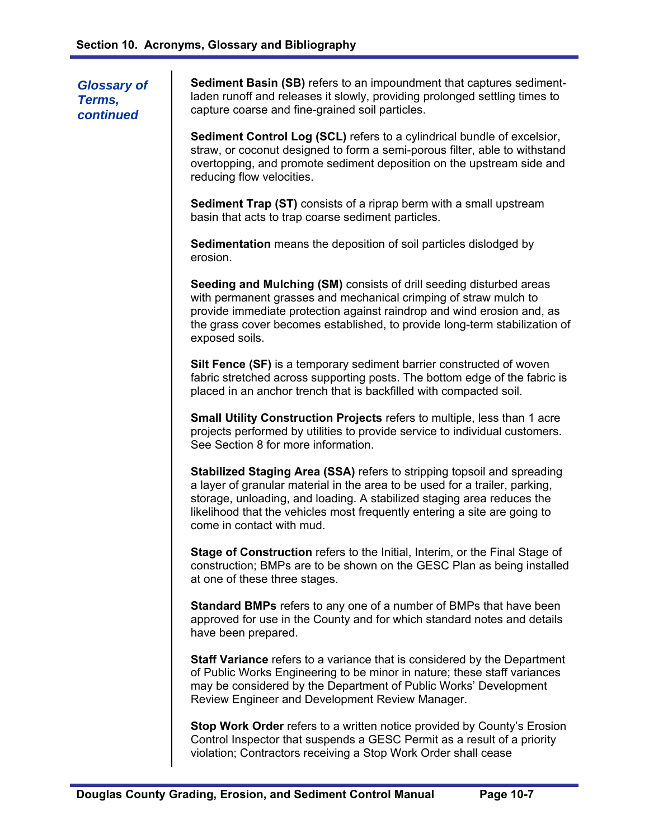*Glossary of Terms, continued* 

**Sediment Basin (SB)** refers to an impoundment that captures sedimentladen runoff and releases it slowly, providing prolonged settling times to capture coarse and fine-grained soil particles.

**Sediment Control Log (SCL)** refers to a cylindrical bundle of excelsior, straw, or coconut designed to form a semi-porous filter, able to withstand overtopping, and promote sediment deposition on the upstream side and reducing flow velocities.

**Sediment Trap (ST)** consists of a riprap berm with a small upstream basin that acts to trap coarse sediment particles.

**Sedimentation** means the deposition of soil particles dislodged by erosion.

**Seeding and Mulching (SM)** consists of drill seeding disturbed areas with permanent grasses and mechanical crimping of straw mulch to provide immediate protection against raindrop and wind erosion and, as the grass cover becomes established, to provide long-term stabilization of exposed soils.

**Silt Fence (SF)** is a temporary sediment barrier constructed of woven fabric stretched across supporting posts. The bottom edge of the fabric is placed in an anchor trench that is backfilled with compacted soil.

**Small Utility Construction Projects** refers to multiple, less than 1 acre projects performed by utilities to provide service to individual customers. See Section 8 for more information.

**Stabilized Staging Area (SSA)** refers to stripping topsoil and spreading a layer of granular material in the area to be used for a trailer, parking, storage, unloading, and loading. A stabilized staging area reduces the likelihood that the vehicles most frequently entering a site are going to come in contact with mud.

**Stage of Construction** refers to the Initial, Interim, or the Final Stage of construction; BMPs are to be shown on the GESC Plan as being installed at one of these three stages.

**Standard BMPs** refers to any one of a number of BMPs that have been approved for use in the County and for which standard notes and details have been prepared.

**Staff Variance** refers to a variance that is considered by the Department of Public Works Engineering to be minor in nature; these staff variances may be considered by the Department of Public Works' Development Review Engineer and Development Review Manager.

**Stop Work Order** refers to a written notice provided by County's Erosion Control Inspector that suspends a GESC Permit as a result of a priority violation; Contractors receiving a Stop Work Order shall cease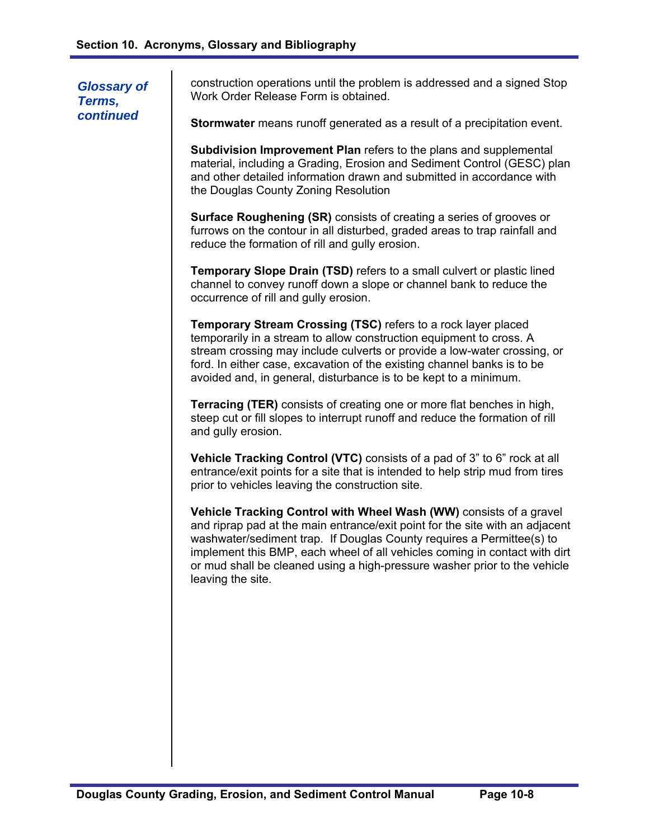*Glossary of Terms, continued* 

construction operations until the problem is addressed and a signed Stop Work Order Release Form is obtained.

**Stormwater** means runoff generated as a result of a precipitation event.

**Subdivision Improvement Plan** refers to the plans and supplemental material, including a Grading, Erosion and Sediment Control (GESC) plan and other detailed information drawn and submitted in accordance with the Douglas County Zoning Resolution

**Surface Roughening (SR)** consists of creating a series of grooves or furrows on the contour in all disturbed, graded areas to trap rainfall and reduce the formation of rill and gully erosion.

**Temporary Slope Drain (TSD)** refers to a small culvert or plastic lined channel to convey runoff down a slope or channel bank to reduce the occurrence of rill and gully erosion.

**Temporary Stream Crossing (TSC)** refers to a rock layer placed temporarily in a stream to allow construction equipment to cross. A stream crossing may include culverts or provide a low-water crossing, or ford. In either case, excavation of the existing channel banks is to be avoided and, in general, disturbance is to be kept to a minimum.

**Terracing (TER)** consists of creating one or more flat benches in high, steep cut or fill slopes to interrupt runoff and reduce the formation of rill and gully erosion.

**Vehicle Tracking Control (VTC)** consists of a pad of 3" to 6" rock at all entrance/exit points for a site that is intended to help strip mud from tires prior to vehicles leaving the construction site.

**Vehicle Tracking Control with Wheel Wash (WW)** consists of a gravel and riprap pad at the main entrance/exit point for the site with an adjacent washwater/sediment trap. If Douglas County requires a Permittee(s) to implement this BMP, each wheel of all vehicles coming in contact with dirt or mud shall be cleaned using a high-pressure washer prior to the vehicle leaving the site.